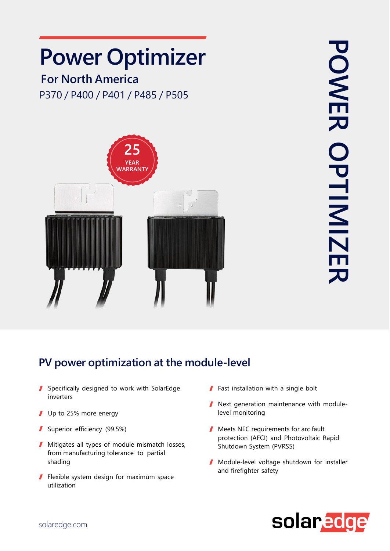## **Power Optimizer**

## **For North America** P370 / P400 / P401 / P485 / P505



## **PV power optimization at the module-level**

- Specifically designed to work with SolarEdge inverters
- Up to 25% more energy
- Superior efficiency (99.5%)
- **Mitigates all types of module mismatch losses,** from manufacturing tolerance to partial shading
- Flexible system design for maximum space utilization
- **Fast installation with a single bolt**
- **Next generation maintenance with module**level monitoring
- Meets NEC requirements for arc fault protection (AFCI) and Photovoltaic Rapid Shutdown System (PVRSS)
- Module-level voltage shutdown for installer and firefighter safety